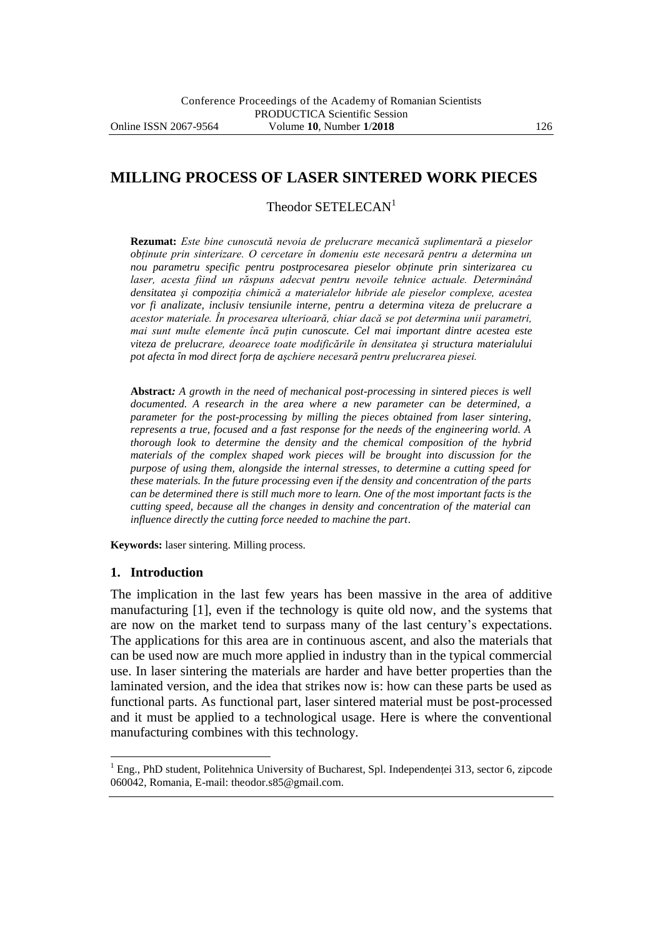## **MILLING PROCESS OF LASER SINTERED WORK PIECES**

Theodor SETELECAN<sup>1</sup>

**Rezumat:** *Este bine cunoscută nevoia de prelucrare mecanică suplimentară a pieselor obţinute prin sinterizare. O cercetare în domeniu este necesară pentru a determina un nou parametru specific pentru postprocesarea pieselor obţinute prin sinterizarea cu laser, acesta fiind un răspuns adecvat pentru nevoile tehnice actuale. Determinând densitatea şi compoziţia chimică a materialelor hibride ale pieselor complexe, acestea vor fi analizate, inclusiv tensiunile interne, pentru a determina viteza de prelucrare a acestor materiale. În procesarea ulterioară, chiar dacă se pot determina unii parametri, mai sunt multe elemente încă puțin cunoscute. Cel mai important dintre acestea este viteza de prelucrare, deoarece toate modificările în densitatea şi structura materialului pot afecta în mod direct forţa de aşchiere necesară pentru prelucrarea piesei.*

**Abstract***: A growth in the need of mechanical post-processing in sintered pieces is well documented. A research in the area where a new parameter can be determined, a parameter for the post-processing by milling the pieces obtained from laser sintering, represents a true, focused and a fast response for the needs of the engineering world. A thorough look to determine the density and the chemical composition of the hybrid materials of the complex shaped work pieces will be brought into discussion for the purpose of using them, alongside the internal stresses, to determine a cutting speed for these materials. In the future processing even if the density and concentration of the parts can be determined there is still much more to learn. One of the most important facts is the cutting speed, because all the changes in density and concentration of the material can influence directly the cutting force needed to machine the part*.

**Keywords:** laser sintering. Milling process.

#### **1. Introduction**

 $\overline{a}$ 

The implication in the last few years has been massive in the area of additive manufacturing [1], even if the technology is quite old now, and the systems that are now on the market tend to surpass many of the last century's expectations. The applications for this area are in continuous ascent, and also the materials that can be used now are much more applied in industry than in the typical commercial use. In laser sintering the materials are harder and have better properties than the laminated version, and the idea that strikes now is: how can these parts be used as functional parts. As functional part, laser sintered material must be post-processed and it must be applied to a technological usage. Here is where the conventional manufacturing combines with this technology.

<sup>&</sup>lt;sup>1</sup> Eng., PhD student, Politehnica University of Bucharest, Spl. Independenței 313, sector 6, zipcode 060042, Romania, E-mail: theodor.s85@gmail.com.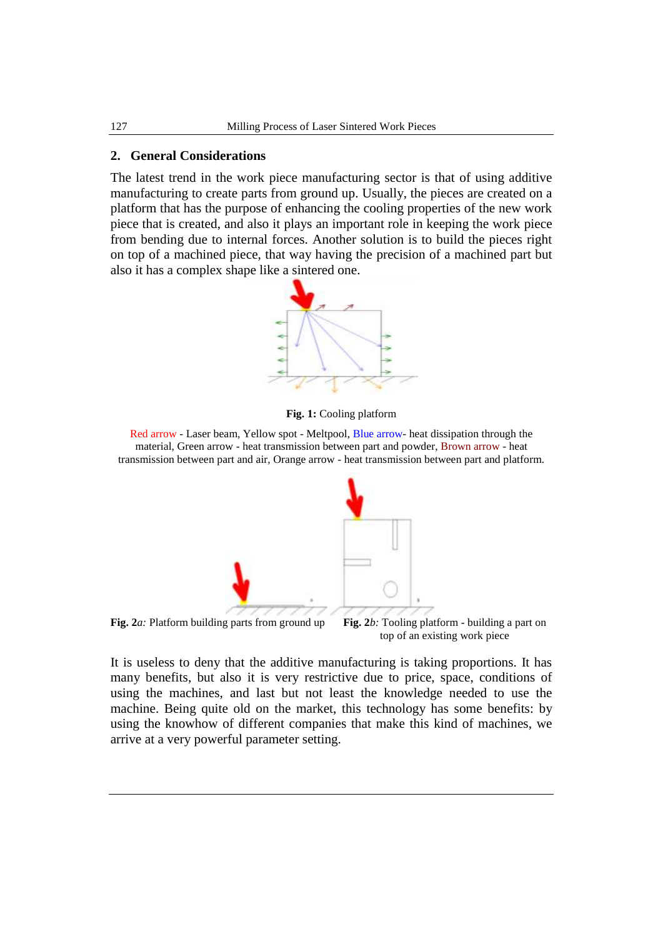#### **2. General Considerations**

The latest trend in the work piece manufacturing sector is that of using additive manufacturing to create parts from ground up. Usually, the pieces are created on a platform that has the purpose of enhancing the cooling properties of the new work piece that is created, and also it plays an important role in keeping the work piece from bending due to internal forces. Another solution is to build the pieces right on top of a machined piece, that way having the precision of a machined part but also it has a complex shape like a sintered one.



**Fig. 1:** Cooling platform

Red arrow - Laser beam, Yellow spot - Meltpool, Blue arrow- heat dissipation through the material, Green arrow - heat transmission between part and powder, Brown arrow - heat transmission between part and air, Orange arrow - heat transmission between part and platform.



**Fig. 2***a:* Platform building parts from ground up **Fig. 2***b:* Tooling platform - building a part on top of an existing work piece

It is useless to deny that the additive manufacturing is taking proportions. It has many benefits, but also it is very restrictive due to price, space, conditions of using the machines, and last but not least the knowledge needed to use the machine. Being quite old on the market, this technology has some benefits: by using the knowhow of different companies that make this kind of machines, we arrive at a very powerful parameter setting.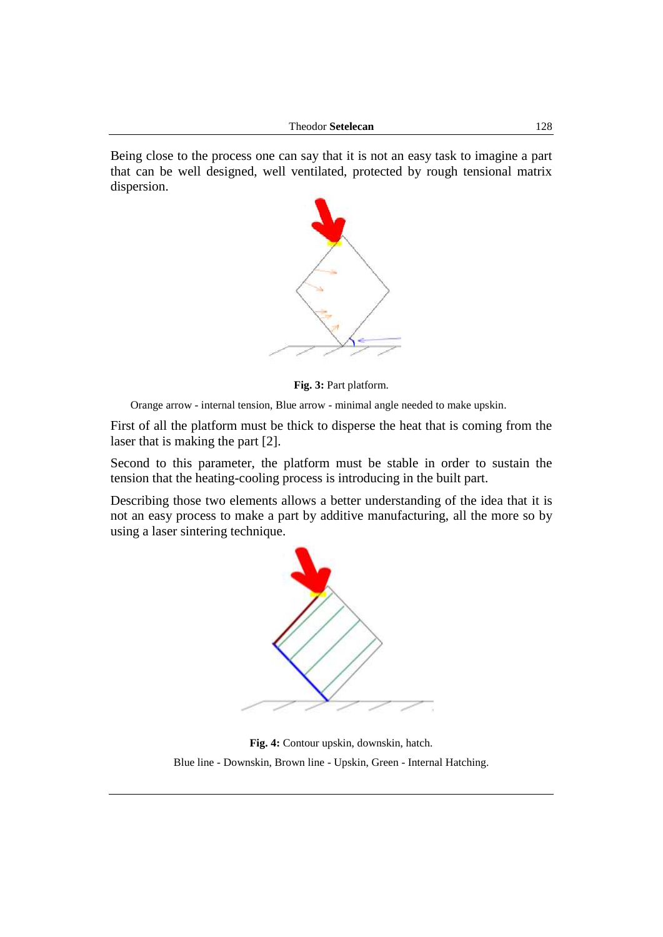Being close to the process one can say that it is not an easy task to imagine a part that can be well designed, well ventilated, protected by rough tensional matrix dispersion.



**Fig. 3:** Part platform.

Orange arrow - internal tension, Blue arrow - minimal angle needed to make upskin.

First of all the platform must be thick to disperse the heat that is coming from the laser that is making the part [2].

Second to this parameter, the platform must be stable in order to sustain the tension that the heating-cooling process is introducing in the built part.

Describing those two elements allows a better understanding of the idea that it is not an easy process to make a part by additive manufacturing, all the more so by using a laser sintering technique.



**Fig. 4:** Contour upskin, downskin, hatch. Blue line - Downskin, Brown line - Upskin, Green - Internal Hatching.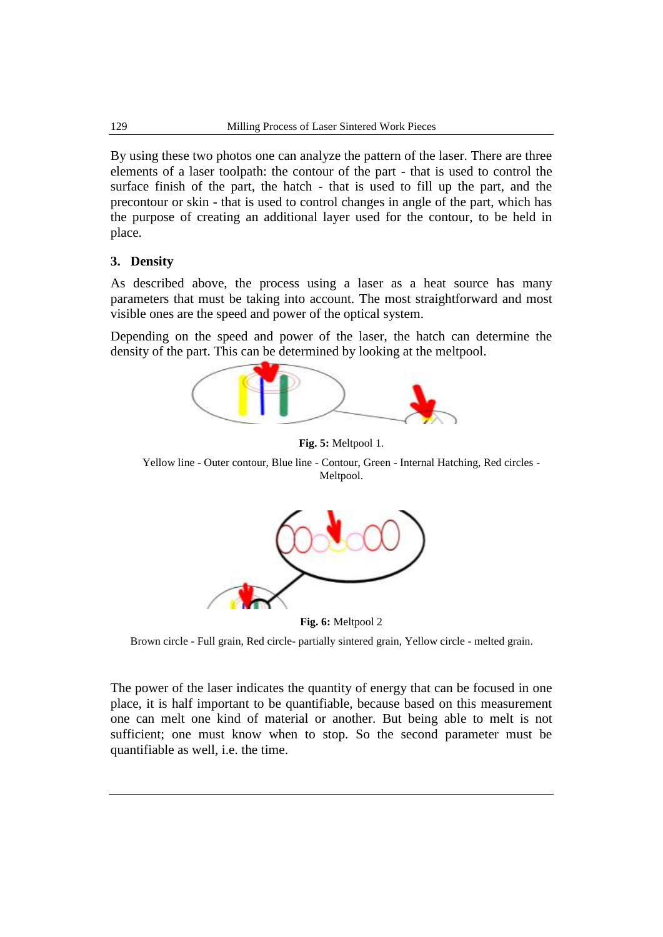By using these two photos one can analyze the pattern of the laser. There are three elements of a laser toolpath: the contour of the part - that is used to control the surface finish of the part, the hatch - that is used to fill up the part, and the precontour or skin - that is used to control changes in angle of the part, which has the purpose of creating an additional layer used for the contour, to be held in place.

### **3. Density**

As described above, the process using a laser as a heat source has many parameters that must be taking into account. The most straightforward and most visible ones are the speed and power of the optical system.

Depending on the speed and power of the laser, the hatch can determine the density of the part. This can be determined by looking at the meltpool.



**Fig. 5:** Meltpool 1.

Yellow line - Outer contour, Blue line - Contour, Green - Internal Hatching, Red circles - Meltpool.



**Fig. 6:** Meltpool 2

Brown circle - Full grain, Red circle- partially sintered grain, Yellow circle - melted grain.

The power of the laser indicates the quantity of energy that can be focused in one place, it is half important to be quantifiable, because based on this measurement one can melt one kind of material or another. But being able to melt is not sufficient; one must know when to stop. So the second parameter must be quantifiable as well, i.e. the time.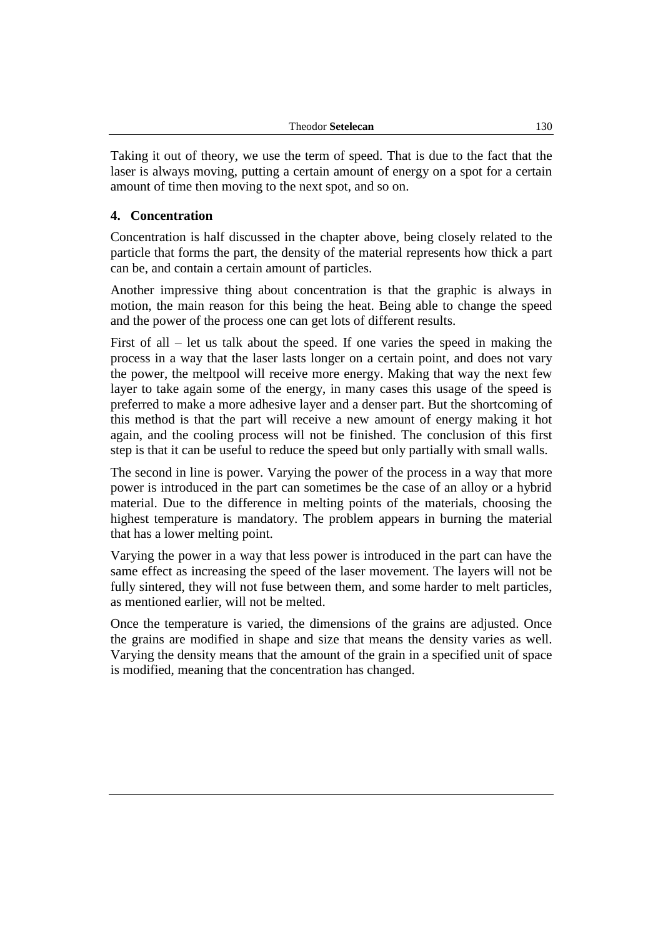| <b>Theodor Setelecan</b> | 130 |
|--------------------------|-----|
|--------------------------|-----|

Taking it out of theory, we use the term of speed. That is due to the fact that the laser is always moving, putting a certain amount of energy on a spot for a certain amount of time then moving to the next spot, and so on.

### **4. Concentration**

Concentration is half discussed in the chapter above, being closely related to the particle that forms the part, the density of the material represents how thick a part can be, and contain a certain amount of particles.

Another impressive thing about concentration is that the graphic is always in motion, the main reason for this being the heat. Being able to change the speed and the power of the process one can get lots of different results.

First of all – let us talk about the speed. If one varies the speed in making the process in a way that the laser lasts longer on a certain point, and does not vary the power, the meltpool will receive more energy. Making that way the next few layer to take again some of the energy, in many cases this usage of the speed is preferred to make a more adhesive layer and a denser part. But the shortcoming of this method is that the part will receive a new amount of energy making it hot again, and the cooling process will not be finished. The conclusion of this first step is that it can be useful to reduce the speed but only partially with small walls.

The second in line is power. Varying the power of the process in a way that more power is introduced in the part can sometimes be the case of an alloy or a hybrid material. Due to the difference in melting points of the materials, choosing the highest temperature is mandatory. The problem appears in burning the material that has a lower melting point.

Varying the power in a way that less power is introduced in the part can have the same effect as increasing the speed of the laser movement. The layers will not be fully sintered, they will not fuse between them, and some harder to melt particles, as mentioned earlier, will not be melted.

Once the temperature is varied, the dimensions of the grains are adjusted. Once the grains are modified in shape and size that means the density varies as well. Varying the density means that the amount of the grain in a specified unit of space is modified, meaning that the concentration has changed.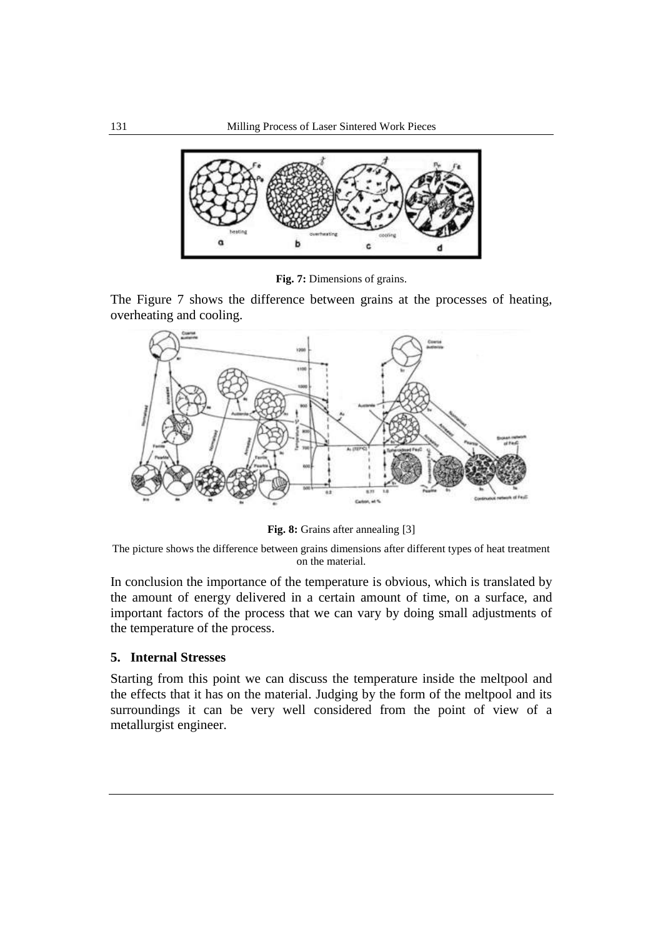

**Fig. 7:** Dimensions of grains.

The Figure 7 shows the difference between grains at the processes of heating, overheating and cooling.



**Fig. 8:** Grains after annealing [3]

The picture shows the difference between grains dimensions after different types of heat treatment on the material.

In conclusion the importance of the temperature is obvious, which is translated by the amount of energy delivered in a certain amount of time, on a surface, and important factors of the process that we can vary by doing small adjustments of the temperature of the process.

### **5. Internal Stresses**

Starting from this point we can discuss the temperature inside the meltpool and the effects that it has on the material. Judging by the form of the meltpool and its surroundings it can be very well considered from the point of view of a metallurgist engineer.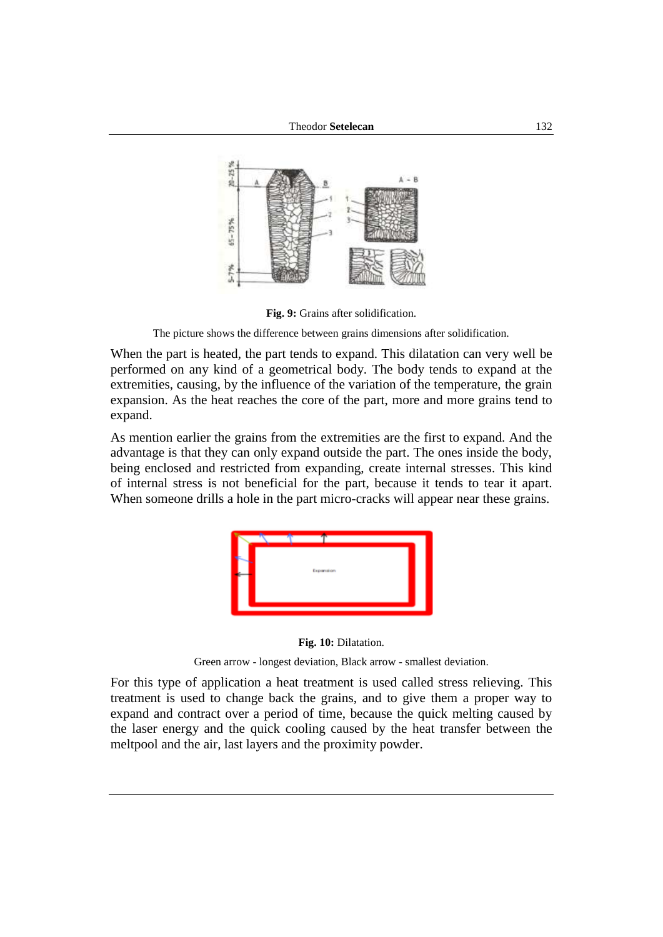

**Fig. 9:** Grains after solidification.

The picture shows the difference between grains dimensions after solidification.

When the part is heated, the part tends to expand. This dilatation can very well be performed on any kind of a geometrical body. The body tends to expand at the extremities, causing, by the influence of the variation of the temperature, the grain expansion. As the heat reaches the core of the part, more and more grains tend to expand.

As mention earlier the grains from the extremities are the first to expand. And the advantage is that they can only expand outside the part. The ones inside the body, being enclosed and restricted from expanding, create internal stresses. This kind of internal stress is not beneficial for the part, because it tends to tear it apart. When someone drills a hole in the part micro-cracks will appear near these grains.





Green arrow - longest deviation, Black arrow - smallest deviation.

For this type of application a heat treatment is used called stress relieving. This treatment is used to change back the grains, and to give them a proper way to expand and contract over a period of time, because the quick melting caused by the laser energy and the quick cooling caused by the heat transfer between the meltpool and the air, last layers and the proximity powder.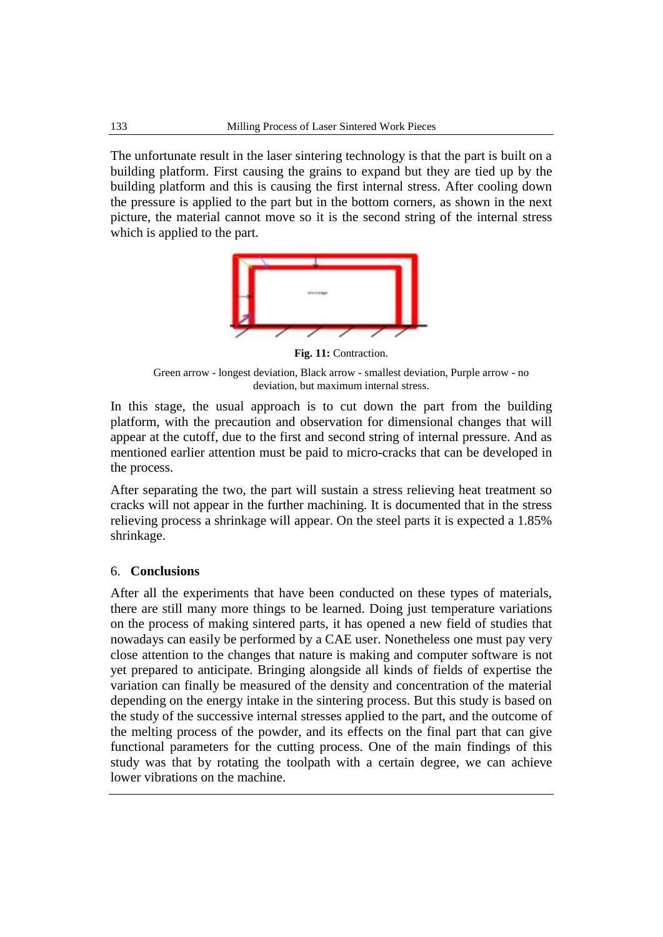The unfortunate result in the laser sintering technology is that the part is built on a building platform. First causing the grains to expand but they are tied up by the building platform and this is causing the first internal stress. After cooling down the pressure is applied to the part but in the bottom corners, as shown in the next picture, the material cannot move so it is the second string of the internal stress which is applied to the part.



**Fig. 11:** Contraction.

Green arrow - longest deviation, Black arrow - smallest deviation, Purple arrow - no deviation, but maximum internal stress.

In this stage, the usual approach is to cut down the part from the building platform, with the precaution and observation for dimensional changes that will appear at the cutoff, due to the first and second string of internal pressure. And as mentioned earlier attention must be paid to micro-cracks that can be developed in the process.

After separating the two, the part will sustain a stress relieving heat treatment so cracks will not appear in the further machining. It is documented that in the stress relieving process a shrinkage will appear. On the steel parts it is expected a 1.85% shrinkage.

### 6. **Conclusions**

After all the experiments that have been conducted on these types of materials, there are still many more things to be learned. Doing just temperature variations on the process of making sintered parts, it has opened a new field of studies that nowadays can easily be performed by a CAE user. Nonetheless one must pay very close attention to the changes that nature is making and computer software is not yet prepared to anticipate. Bringing alongside all kinds of fields of expertise the variation can finally be measured of the density and concentration of the material depending on the energy intake in the sintering process. But this study is based on the study of the successive internal stresses applied to the part, and the outcome of the melting process of the powder, and its effects on the final part that can give functional parameters for the cutting process. One of the main findings of this study was that by rotating the toolpath with a certain degree, we can achieve lower vibrations on the machine.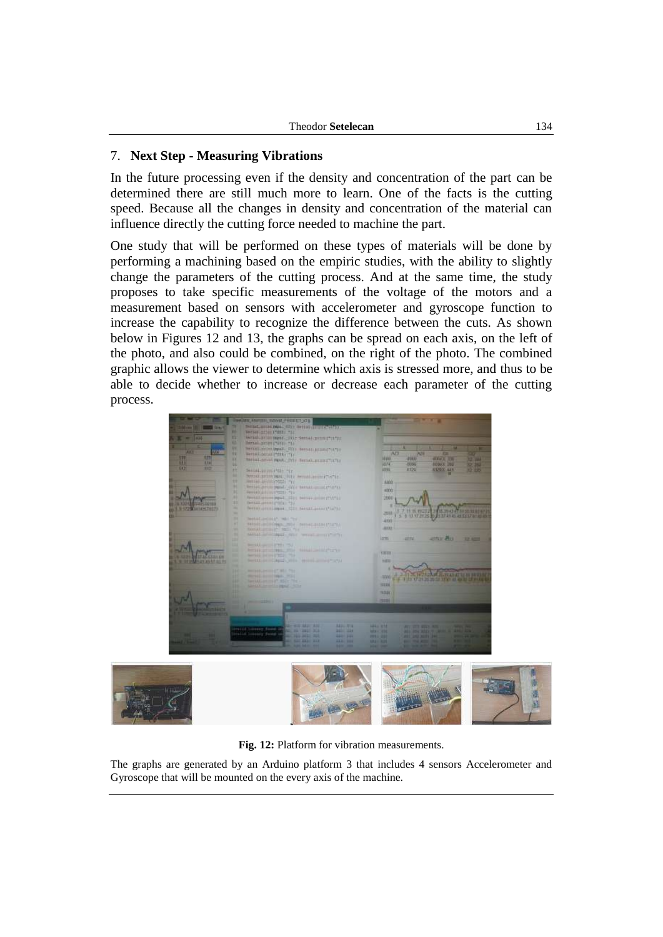### 7. **Next Step - Measuring Vibrations**

In the future processing even if the density and concentration of the part can be determined there are still much more to learn. One of the facts is the cutting speed. Because all the changes in density and concentration of the material can influence directly the cutting force needed to machine the part.

One study that will be performed on these types of materials will be done by performing a machining based on the empiric studies, with the ability to slightly change the parameters of the cutting process. And at the same time, the study proposes to take specific measurements of the voltage of the motors and a measurement based on sensors with accelerometer and gyroscope function to increase the capability to recognize the difference between the cuts. As shown below in Figures 12 and 13, the graphs can be spread on each axis, on the left of the photo, and also could be combined, on the right of the photo. The combined graphic allows the viewer to determine which axis is stressed more, and thus to be able to decide whether to increase or decrease each parameter of the cutting process.





**Fig. 12:** Platform for vibration measurements.

The graphs are generated by an Arduino platform 3 that includes 4 sensors Accelerometer and Gyroscope that will be mounted on the every axis of the machine.